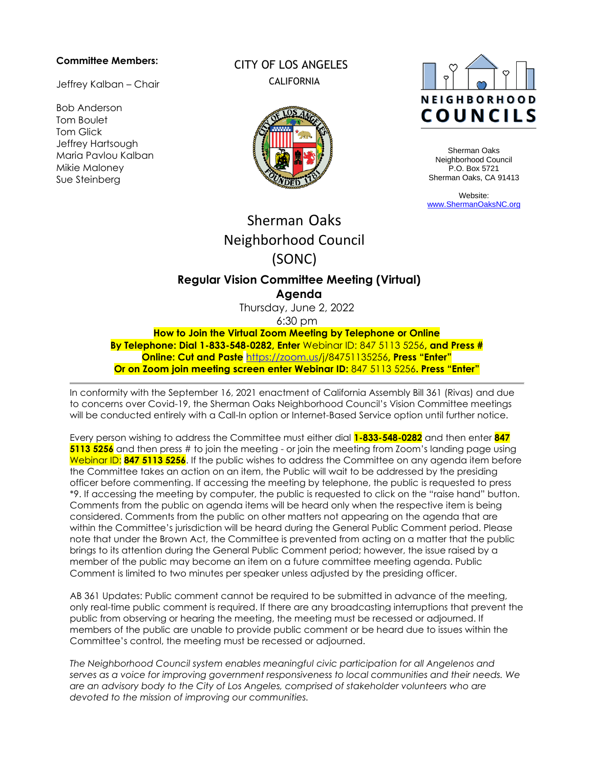#### **Committee Members:**

Jeffrey Kalban – Chair

Bob Anderson Tom Boulet Tom Glick Jeffrey Hartsough Maria Pavlou Kalban Mikie Maloney Sue Steinberg

# CITY OF LOS ANGELES **CALIFORNIA**





Sherman Oaks Neighborhood Council P.O. Box 5721 Sherman Oaks, CA 91413

Website: www.ShermanOaksNC.org

# Sherman Oaks Neighborhood Council (SONC)

## **Regular Vision Committee Meeting (Virtual) Agenda**

Thursday, June 2, 2022

6:30 pm

**How to Join the Virtual Zoom Meeting by Telephone or Online By Telephone: Dial 1-833-548-0282, Enter** Webinar ID: 847 5113 5256**, and Press # Online: Cut and Paste** https://zoom.us/j/84751135256**, Press "Enter" Or on Zoom join meeting screen enter Webinar ID:** 847 5113 5256**. Press "Enter"**

In conformity with the September 16, 2021 enactment of California Assembly Bill 361 (Rivas) and due to concerns over Covid-19, the Sherman Oaks Neighborhood Council's Vision Committee meetings will be conducted entirely with a Call-In option or Internet-Based Service option until further notice.

Every person wishing to address the Committee must either dial **1-833-548-0282** and then enter **847 5113 5256** and then press # to join the meeting - or join the meeting from Zoom's landing page using Webinar ID: **847 5113 5256**. If the public wishes to address the Committee on any agenda item before the Committee takes an action on an item, the Public will wait to be addressed by the presiding officer before commenting. If accessing the meeting by telephone, the public is requested to press \*9. If accessing the meeting by computer, the public is requested to click on the "raise hand" button. Comments from the public on agenda items will be heard only when the respective item is being considered. Comments from the public on other matters not appearing on the agenda that are within the Committee's jurisdiction will be heard during the General Public Comment period. Please note that under the Brown Act, the Committee is prevented from acting on a matter that the public brings to its attention during the General Public Comment period; however, the issue raised by a member of the public may become an item on a future committee meeting agenda. Public Comment is limited to two minutes per speaker unless adjusted by the presiding officer.

AB 361 Updates: Public comment cannot be required to be submitted in advance of the meeting, only real-time public comment is required. If there are any broadcasting interruptions that prevent the public from observing or hearing the meeting, the meeting must be recessed or adjourned. If members of the public are unable to provide public comment or be heard due to issues within the Committee's control, the meeting must be recessed or adjourned.

*The Neighborhood Council system enables meaningful civic participation for all Angelenos and serves as a voice for improving government responsiveness to local communities and their needs. We are an advisory body to the City of Los Angeles, comprised of stakeholder volunteers who are devoted to the mission of improving our communities.*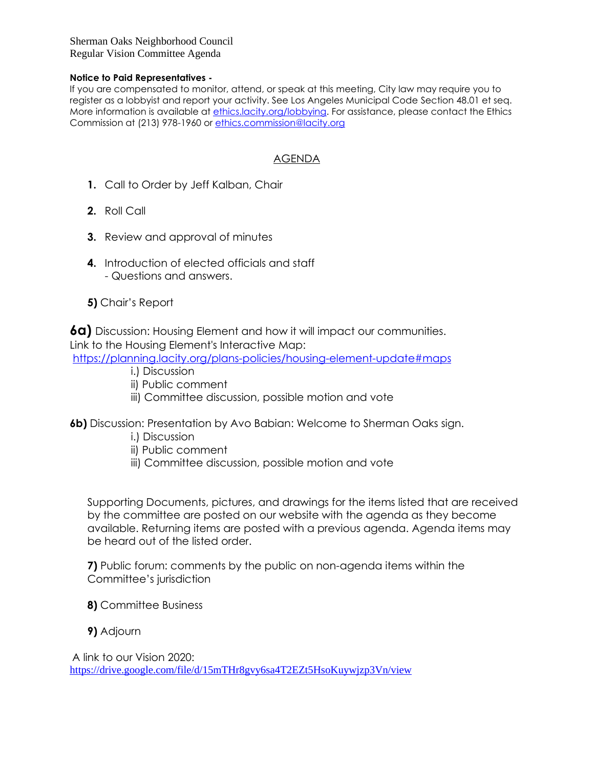Sherman Oaks Neighborhood Council Regular Vision Committee Agenda

#### **Notice to Paid Representatives -**

If you are compensated to monitor, attend, or speak at this meeting, City law may require you to register as a lobbyist and report your activity. See Los Angeles Municipal Code Section 48.01 et seq. More information is available at [ethics.lacity.org/lobbying.](http://ethics.lacity.org/lobbying) For assistance, please contact the Ethics Commission at (213) 978-1960 or [ethics.commission@lacity.org](mailto:ethics.commission@lacity.org)

### AGENDA

- **1.** Call to Order by Jeff Kalban, Chair
- **2.** Roll Call
- **3.** Review and approval of minutes
- **4.** Introduction of elected officials and staff - Questions and answers.
- **5)** Chair's Report

**6a)** Discussion: Housing Element and how it will impact our communities. Link to the Housing Element's Interactive Map:

<https://planning.lacity.org/plans-policies/housing-element-update#maps>

- i.) Discussion
- ii) Public comment
- iii) Committee discussion, possible motion and vote
- **6b)** Discussion: Presentation by Avo Babian: Welcome to Sherman Oaks sign.
	- i.) Discussion
	- ii) Public comment
	- iii) Committee discussion, possible motion and vote

Supporting Documents, pictures, and drawings for the items listed that are received by the committee are posted on our website with the agenda as they become available. Returning items are posted with a previous agenda. Agenda items may be heard out of the listed order.

**7)** Public forum: comments by the public on non-agenda items within the Committee's jurisdiction

- **8)** Committee Business
- **9)** Adjourn

A link to our Vision 2020: <https://drive.google.com/file/d/15mTHr8gvy6sa4T2EZt5HsoKuywjzp3Vn/view>